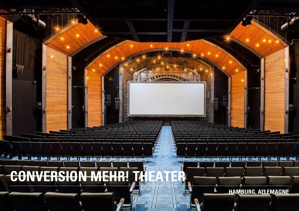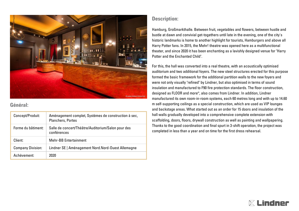

## **Général:**

| Concept/Produit:         | Aménagement complet, Systèmes de construction à sec,<br><b>Planchers, Portes</b> |
|--------------------------|----------------------------------------------------------------------------------|
| Forme du bâtiment:       | Salle de concert/Théâtre/Auditorium/Salon pour des<br>conférences                |
| Client:                  | <b>Mehr-BB Entertainment</b>                                                     |
| <b>Company Division:</b> | Lindner SE   Aménagement Nord.Nord-Ouest Allemagne                               |
| Achèvement:              | 2020                                                                             |

## **Description:**

Hamburg, Großmarkthalle. Between fruit, vegetables and flowers, between hustle and bustle at dawn and convivial get-togethers until late in the evening, one of the city's historic landmarks is home to another highlight for tourists, Hamburgers and above all Harry Potter fans. In 2015, the Mehr! theatre was opened here as a multifunctional theater, and since 2020 it has been enchanting as a lavishly designed venue for "Harry Potter and the Enchanted Child".

For this, the hall was converted into a real theatre, with an acoustically optimised auditorium and two additional foyers. The new steel structures erected for this purpose formed the basic framework for the additional partition walls to the new foyers and were not only visually "refined" by Lindner, but also optimised in terms of sound insulation and manufactured to F90 fire protection standards. The floor construction, designed as FLOOR and more®, also comes from Lindner. In addition, Lindner manufactured its own room-in-room systems, each 60 metres long and with up to 14.60 m self-supporting ceilings as a special construction, which are used as VIP lounges and backstage areas. What started out as an order for 15 doors and insulation of the hall walls gradually developed into a comprehensive complete extension with scaffolding, doors, floors, drywall construction as well as painting and wallpapering. Thanks to the good coordination and final spurt in 3-shift operation, the project was completed in less than a year and on time for the first dress rehearsal.

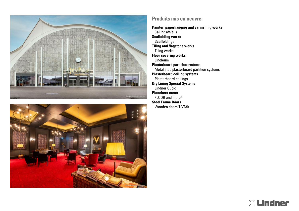



## **Produits mis en oeuvre:**

**Painter, paperhanging and varnishing works** Ceilings/Walls **Scaffolding works Scaffoldings Tiling and flagstone works** Tiling works **Floor covering works** Linoleum **Plasterboard partition systems** Metal stud plasterboard partition systems **Plasterboard ceiling systems** Plasterboard ceilings **Dry Lining Special Systems** Lindner Cubic **Planchers creux** FLOOR and more® **Steel Frame Doors**

Wooden doors T0/T30

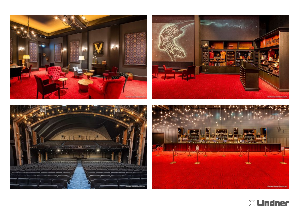